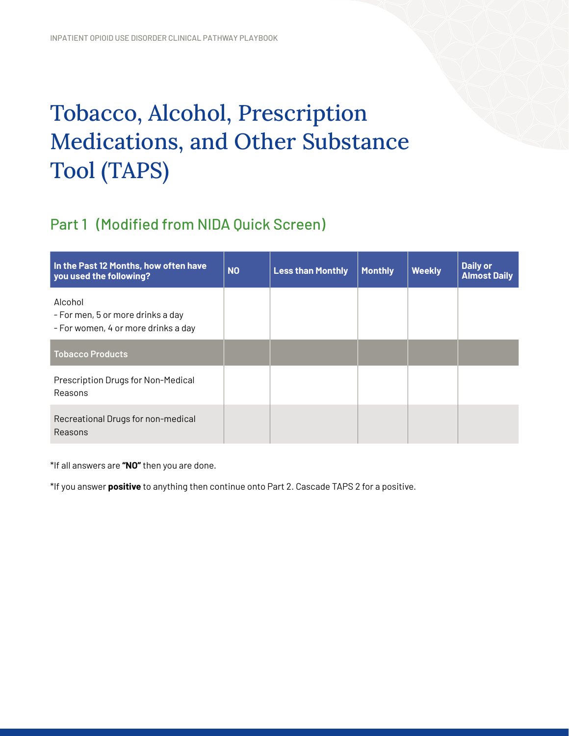## Tobacco, Alcohol, Prescription Medications, and Other Substance Tool (TAPS)

## Part 1 (Modified from NIDA Quick Screen)

| In the Past 12 Months, how often have<br>you used the following?                    | <b>NO</b> | <b>Less than Monthly</b> | <b>Monthly</b> | <b>Weekly</b> | <b>Daily or</b><br><b>Almost Daily</b> |
|-------------------------------------------------------------------------------------|-----------|--------------------------|----------------|---------------|----------------------------------------|
| Alcohol<br>- For men, 5 or more drinks a day<br>- For women, 4 or more drinks a day |           |                          |                |               |                                        |
| <b>Tobacco Products</b>                                                             |           |                          |                |               |                                        |
| Prescription Drugs for Non-Medical<br>Reasons                                       |           |                          |                |               |                                        |
| Recreational Drugs for non-medical<br>Reasons                                       |           |                          |                |               |                                        |

\*If all answers are **"NO"** then you are done.

\*If you answer **positive** to anything then continue onto Part 2. Cascade TAPS 2 for a positive.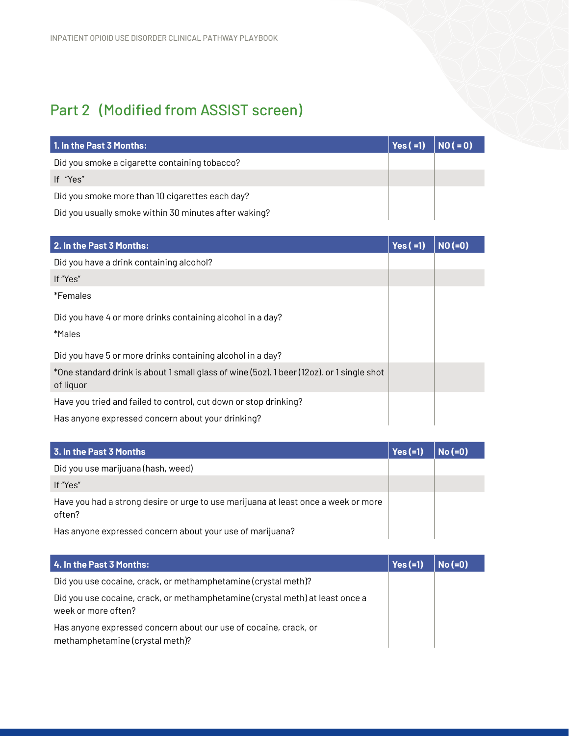## Part 2 (Modified from ASSIST screen)

| 1. In the Past 3 Months:                              | $Yes (=1)$ $NO (= 0)$ |  |
|-------------------------------------------------------|-----------------------|--|
| Did you smoke a cigarette containing tobacco?         |                       |  |
| If "Yes"                                              |                       |  |
| Did you smoke more than 10 cigarettes each day?       |                       |  |
| Did you usually smoke within 30 minutes after waking? |                       |  |

| 2. In the Past 3 Months:                                                                               | $Yes (=1)$ | $NO(=0)$ |
|--------------------------------------------------------------------------------------------------------|------------|----------|
| Did you have a drink containing alcohol?                                                               |            |          |
| If "Yes"                                                                                               |            |          |
| *Females                                                                                               |            |          |
| Did you have 4 or more drinks containing alcohol in a day?                                             |            |          |
| *Males                                                                                                 |            |          |
| Did you have 5 or more drinks containing alcohol in a day?                                             |            |          |
| *One standard drink is about 1 small glass of wine (5oz), 1 beer (12oz), or 1 single shot<br>of liquor |            |          |
| Have you tried and failed to control, cut down or stop drinking?                                       |            |          |
| Has anyone expressed concern about your drinking?                                                      |            |          |

| 3. In the Past 3 Months                                                                      | $Yes (=1)$ | $No (=0)$ |
|----------------------------------------------------------------------------------------------|------------|-----------|
| Did you use marijuana (hash, weed)                                                           |            |           |
| If "Yes"                                                                                     |            |           |
| Have you had a strong desire or urge to use marijuana at least once a week or more<br>often? |            |           |
| Has anyone expressed concern about your use of marijuana?                                    |            |           |

| 4. In the Past 3 Months:                                                                             | $Yes (=1)$ | $No (=0)$ |
|------------------------------------------------------------------------------------------------------|------------|-----------|
| Did you use cocaine, crack, or methamphetamine (crystal meth)?                                       |            |           |
| Did you use cocaine, crack, or methamphetamine (crystal meth) at least once a<br>week or more often? |            |           |
| Has anyone expressed concern about our use of cocaine, crack, or<br>methamphetamine (crystal meth)?  |            |           |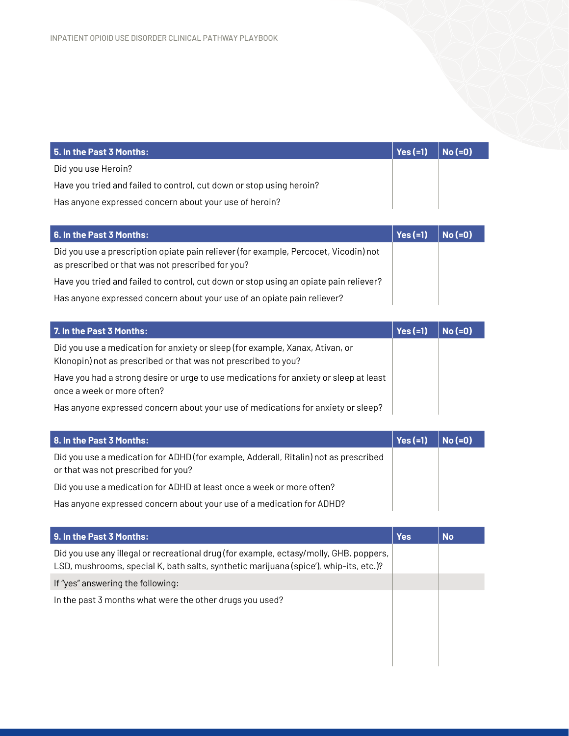| 5. In the Past 3 Months:                                             | Yes (=1) | $No (=0)$ |
|----------------------------------------------------------------------|----------|-----------|
| Did you use Heroin?                                                  |          |           |
| Have you tried and failed to control, cut down or stop using heroin? |          |           |
| Has anyone expressed concern about your use of heroin?               |          |           |

| 6. In the Past 3 Months:                                                                                                                  | $Yes (=1)$ | $No (=0)$ |
|-------------------------------------------------------------------------------------------------------------------------------------------|------------|-----------|
| Did you use a prescription opiate pain reliever (for example, Percocet, Vicodin) not<br>as prescribed or that was not prescribed for you? |            |           |
| Have you tried and failed to control, cut down or stop using an opiate pain reliever?                                                     |            |           |
| Has anyone expressed concern about your use of an opiate pain reliever?                                                                   |            |           |

| 7. In the Past 3 Months:                                                                                                                        | Yes $(=1)$ | $No (=0)$ |
|-------------------------------------------------------------------------------------------------------------------------------------------------|------------|-----------|
| Did you use a medication for anxiety or sleep (for example, Xanax, Ativan, or<br>Klonopin) not as prescribed or that was not prescribed to you? |            |           |
| Have you had a strong desire or urge to use medications for anxiety or sleep at least<br>once a week or more often?                             |            |           |
| Has anyone expressed concern about your use of medications for anxiety or sleep?                                                                |            |           |

| <b>8. In the Past 3 Months:</b>                                                                                             | $\vert$ Yes (=1) | $NO(=0)$ |
|-----------------------------------------------------------------------------------------------------------------------------|------------------|----------|
| Did you use a medication for ADHD (for example, Adderall, Ritalin) not as prescribed<br>or that was not prescribed for you? |                  |          |
| Did you use a medication for ADHD at least once a week or more often?                                                       |                  |          |
| Has anyone expressed concern about your use of a medication for ADHD?                                                       |                  |          |

| 9. In the Past 3 Months:                                                                                                                                                        | <b>Yes</b> | <b>No</b> |
|---------------------------------------------------------------------------------------------------------------------------------------------------------------------------------|------------|-----------|
| Did you use any illegal or recreational drug (for example, ectasy/molly, GHB, poppers,<br>LSD, mushrooms, special K, bath salts, synthetic marijuana (spice'), whip-its, etc.)? |            |           |
| If "yes" answering the following:                                                                                                                                               |            |           |
| In the past 3 months what were the other drugs you used?                                                                                                                        |            |           |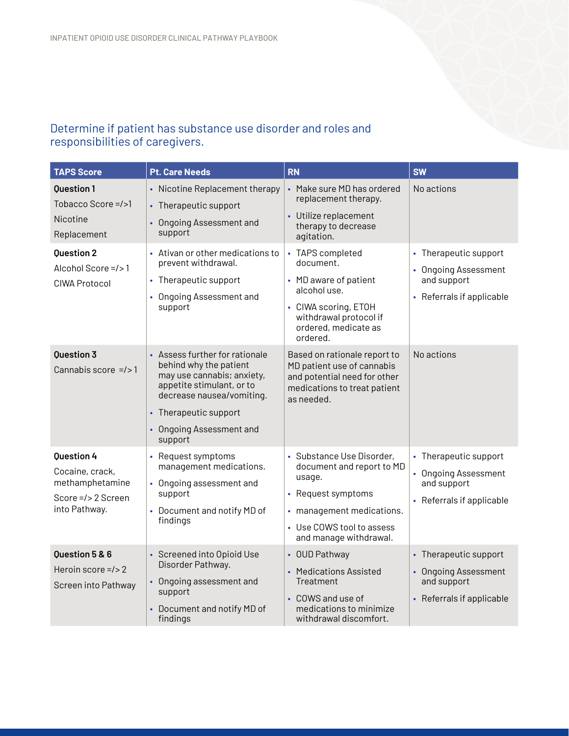## Determine if patient has substance use disorder and roles and responsibilities of caregivers.

| <b>TAPS Score</b>                                                                              | <b>Pt. Care Needs</b>                                                                                                                                                                                            | <b>RN</b>                                                                                                                                                                  | <b>SW</b>                                                                                 |
|------------------------------------------------------------------------------------------------|------------------------------------------------------------------------------------------------------------------------------------------------------------------------------------------------------------------|----------------------------------------------------------------------------------------------------------------------------------------------------------------------------|-------------------------------------------------------------------------------------------|
| <b>Ouestion 1</b><br>Tobacco Score =/>1<br>Nicotine<br>Replacement                             | • Nicotine Replacement therapy<br>• Therapeutic support<br><b>Ongoing Assessment and</b><br>support                                                                                                              | • Make sure MD has ordered<br>replacement therapy.<br>• Utilize replacement<br>therapy to decrease<br>agitation.                                                           | No actions                                                                                |
| <b>Question 2</b><br>Alcohol Score =/>1<br><b>CIWA Protocol</b>                                | • Ativan or other medications to<br>prevent withdrawal.<br>• Therapeutic support<br>• Ongoing Assessment and<br>support                                                                                          | • TAPS completed<br>document.<br>• MD aware of patient<br>alcohol use.<br>• CIWA scoring, ETOH<br>withdrawal protocol if<br>ordered, medicate as<br>ordered.               | • Therapeutic support<br>• Ongoing Assessment<br>and support<br>• Referrals if applicable |
| <b>Question 3</b><br>Cannabis score $=$ />1                                                    | • Assess further for rationale<br>behind why the patient<br>may use cannabis; anxiety,<br>appetite stimulant, or to<br>decrease nausea/vomiting.<br>• Therapeutic support<br>• Ongoing Assessment and<br>support | Based on rationale report to<br>MD patient use of cannabis<br>and potential need for other<br>medications to treat patient<br>as needed.                                   | No actions                                                                                |
| <b>Ouestion 4</b><br>Cocaine, crack,<br>methamphetamine<br>Score =/> 2 Screen<br>into Pathway. | • Request symptoms<br>management medications.<br>• Ongoing assessment and<br>support<br>• Document and notify MD of<br>findings                                                                                  | • Substance Use Disorder,<br>document and report to MD<br>usage.<br>• Request symptoms<br>• management medications.<br>• Use COWS tool to assess<br>and manage withdrawal. | • Therapeutic support<br>• Ongoing Assessment<br>and support<br>• Referrals if applicable |
| <b>Question 5 &amp; 6</b><br>Heroin score $=$ /> 2<br>Screen into Pathway                      | • Screened into Opioid Use<br>Disorder Pathway.<br>• Ongoing assessment and<br>support<br>• Document and notify MD of<br>findings                                                                                | • OUD Pathway<br>• Medications Assisted<br>Treatment<br>• COWS and use of<br>medications to minimize<br>withdrawal discomfort.                                             | • Therapeutic support<br>• Ongoing Assessment<br>and support<br>• Referrals if applicable |